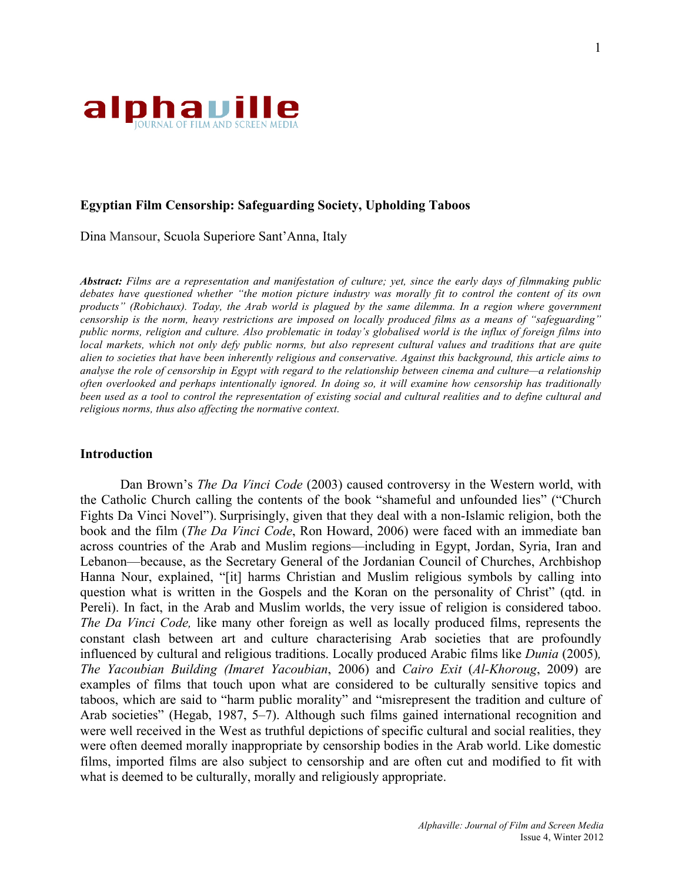

### **Egyptian Film Censorship: Safeguarding Society, Upholding Taboos**

Dina Mansour, Scuola Superiore Sant'Anna, Italy

*Abstract: Films are a representation and manifestation of culture; yet, since the early days of filmmaking public debates have questioned whether "the motion picture industry was morally fit to control the content of its own products" (Robichaux). Today, the Arab world is plagued by the same dilemma. In a region where government censorship is the norm, heavy restrictions are imposed on locally produced films as a means of "safeguarding" public norms, religion and culture. Also problematic in today's globalised world is the influx of foreign films into local markets, which not only defy public norms, but also represent cultural values and traditions that are quite alien to societies that have been inherently religious and conservative. Against this background, this article aims to analyse the role of censorship in Egypt with regard to the relationship between cinema and culture—a relationship often overlooked and perhaps intentionally ignored. In doing so, it will examine how censorship has traditionally been used as a tool to control the representation of existing social and cultural realities and to define cultural and religious norms, thus also affecting the normative context.*

### **Introduction**

Dan Brown's *The Da Vinci Code* (2003) caused controversy in the Western world, with the Catholic Church calling the contents of the book "shameful and unfounded lies" ("Church Fights Da Vinci Novel"). Surprisingly, given that they deal with a non-Islamic religion, both the book and the film (*The Da Vinci Code*, Ron Howard, 2006) were faced with an immediate ban across countries of the Arab and Muslim regions—including in Egypt, Jordan, Syria, Iran and Lebanon—because, as the Secretary General of the Jordanian Council of Churches, Archbishop Hanna Nour, explained, "[it] harms Christian and Muslim religious symbols by calling into question what is written in the Gospels and the Koran on the personality of Christ" (qtd. in Pereli). In fact, in the Arab and Muslim worlds, the very issue of religion is considered taboo. *The Da Vinci Code,* like many other foreign as well as locally produced films, represents the constant clash between art and culture characterising Arab societies that are profoundly influenced by cultural and religious traditions. Locally produced Arabic films like *Dunia* (2005)*, The Yacoubian Building (Imaret Yacoubian*, 2006) and *Cairo Exit* (*Al-Khoroug*, 2009) are examples of films that touch upon what are considered to be culturally sensitive topics and taboos, which are said to "harm public morality" and "misrepresent the tradition and culture of Arab societies" (Hegab, 1987, 5–7). Although such films gained international recognition and were well received in the West as truthful depictions of specific cultural and social realities, they were often deemed morally inappropriate by censorship bodies in the Arab world. Like domestic films, imported films are also subject to censorship and are often cut and modified to fit with what is deemed to be culturally, morally and religiously appropriate.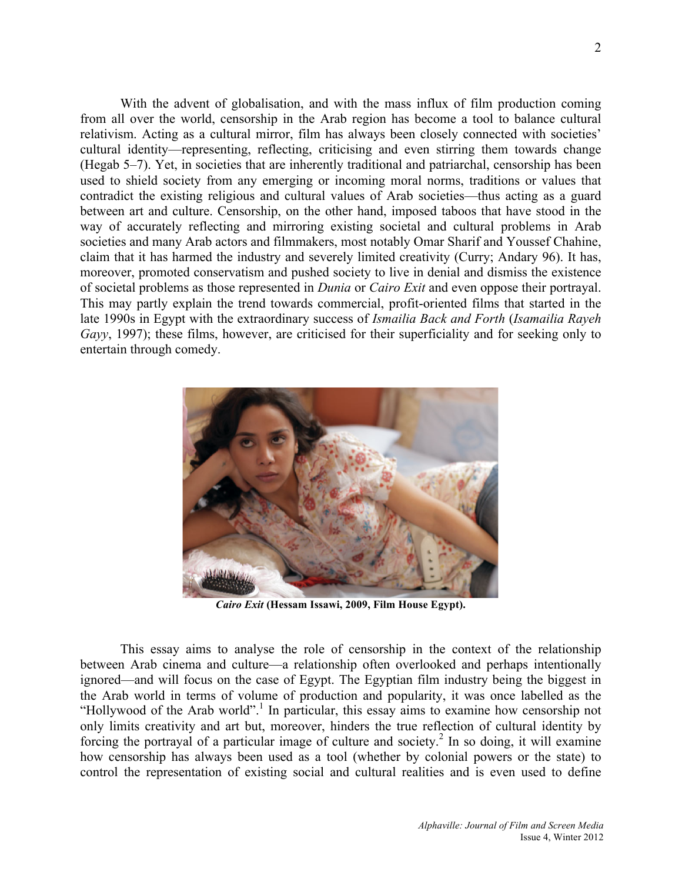With the advent of globalisation, and with the mass influx of film production coming from all over the world, censorship in the Arab region has become a tool to balance cultural relativism. Acting as a cultural mirror, film has always been closely connected with societies' cultural identity—representing, reflecting, criticising and even stirring them towards change (Hegab 5–7). Yet, in societies that are inherently traditional and patriarchal, censorship has been used to shield society from any emerging or incoming moral norms, traditions or values that contradict the existing religious and cultural values of Arab societies—thus acting as a guard between art and culture. Censorship, on the other hand, imposed taboos that have stood in the way of accurately reflecting and mirroring existing societal and cultural problems in Arab societies and many Arab actors and filmmakers, most notably Omar Sharif and Youssef Chahine, claim that it has harmed the industry and severely limited creativity (Curry; Andary 96). It has, moreover, promoted conservatism and pushed society to live in denial and dismiss the existence of societal problems as those represented in *Dunia* or *Cairo Exit* and even oppose their portrayal. This may partly explain the trend towards commercial, profit-oriented films that started in the late 1990s in Egypt with the extraordinary success of *Ismailia Back and Forth* (*Isamailia Rayeh Gayy*, 1997); these films, however, are criticised for their superficiality and for seeking only to entertain through comedy.



*Cairo Exit* **(Hessam Issawi, 2009, Film House Egypt).**

This essay aims to analyse the role of censorship in the context of the relationship between Arab cinema and culture—a relationship often overlooked and perhaps intentionally ignored—and will focus on the case of Egypt. The Egyptian film industry being the biggest in the Arab world in terms of volume of production and popularity, it was once labelled as the "Hollywood of the Arab world".<sup>1</sup> In particular, this essay aims to examine how censorship not only limits creativity and art but, moreover, hinders the true reflection of cultural identity by forcing the portrayal of a particular image of culture and society.<sup>2</sup> In so doing, it will examine how censorship has always been used as a tool (whether by colonial powers or the state) to control the representation of existing social and cultural realities and is even used to define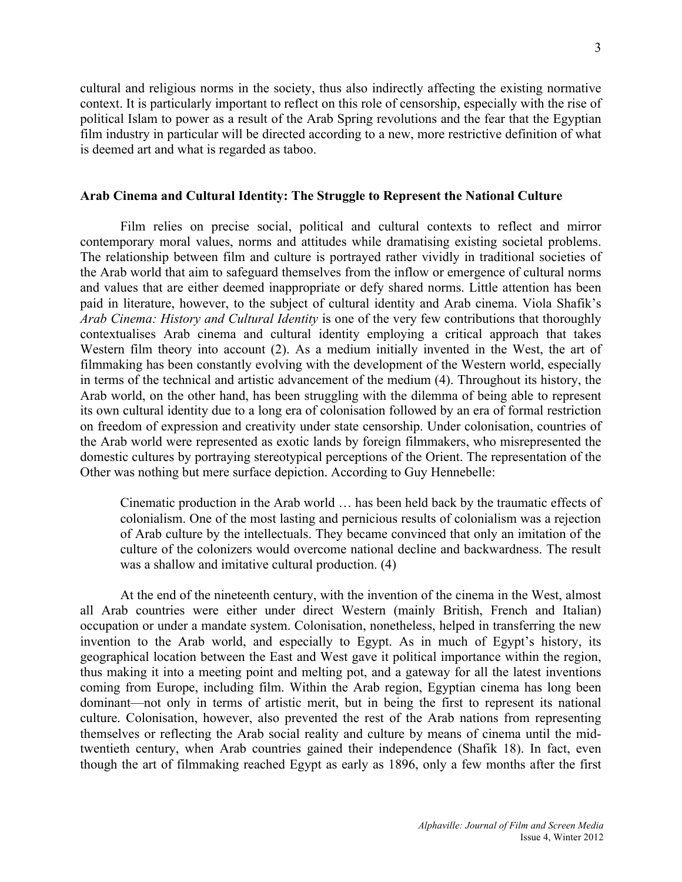cultural and religious norms in the society, thus also indirectly affecting the existing normative context. It is particularly important to reflect on this role of censorship, especially with the rise of political Islam to power as a result of the Arab Spring revolutions and the fear that the Egyptian film industry in particular will be directed according to a new, more restrictive definition of what is deemed art and what is regarded as taboo.

#### **Arab Cinema and Cultural Identity: The Struggle to Represent the National Culture**

Film relies on precise social, political and cultural contexts to reflect and mirror contemporary moral values, norms and attitudes while dramatising existing societal problems. The relationship between film and culture is portrayed rather vividly in traditional societies of the Arab world that aim to safeguard themselves from the inflow or emergence of cultural norms and values that are either deemed inappropriate or defy shared norms. Little attention has been paid in literature, however, to the subject of cultural identity and Arab cinema. Viola Shafik's *Arab Cinema: History and Cultural Identity* is one of the very few contributions that thoroughly contextualises Arab cinema and cultural identity employing a critical approach that takes Western film theory into account (2). As a medium initially invented in the West, the art of filmmaking has been constantly evolving with the development of the Western world, especially in terms of the technical and artistic advancement of the medium (4). Throughout its history, the Arab world, on the other hand, has been struggling with the dilemma of being able to represent its own cultural identity due to a long era of colonisation followed by an era of formal restriction on freedom of expression and creativity under state censorship. Under colonisation, countries of the Arab world were represented as exotic lands by foreign filmmakers, who misrepresented the domestic cultures by portraying stereotypical perceptions of the Orient. The representation of the Other was nothing but mere surface depiction. According to Guy Hennebelle:

Cinematic production in the Arab world … has been held back by the traumatic effects of colonialism. One of the most lasting and pernicious results of colonialism was a rejection of Arab culture by the intellectuals. They became convinced that only an imitation of the culture of the colonizers would overcome national decline and backwardness. The result was a shallow and imitative cultural production. (4)

At the end of the nineteenth century, with the invention of the cinema in the West, almost all Arab countries were either under direct Western (mainly British, French and Italian) occupation or under a mandate system. Colonisation, nonetheless, helped in transferring the new invention to the Arab world, and especially to Egypt. As in much of Egypt's history, its geographical location between the East and West gave it political importance within the region, thus making it into a meeting point and melting pot, and a gateway for all the latest inventions coming from Europe, including film. Within the Arab region, Egyptian cinema has long been dominant—not only in terms of artistic merit, but in being the first to represent its national culture. Colonisation, however, also prevented the rest of the Arab nations from representing themselves or reflecting the Arab social reality and culture by means of cinema until the midtwentieth century, when Arab countries gained their independence (Shafik 18). In fact, even though the art of filmmaking reached Egypt as early as 1896, only a few months after the first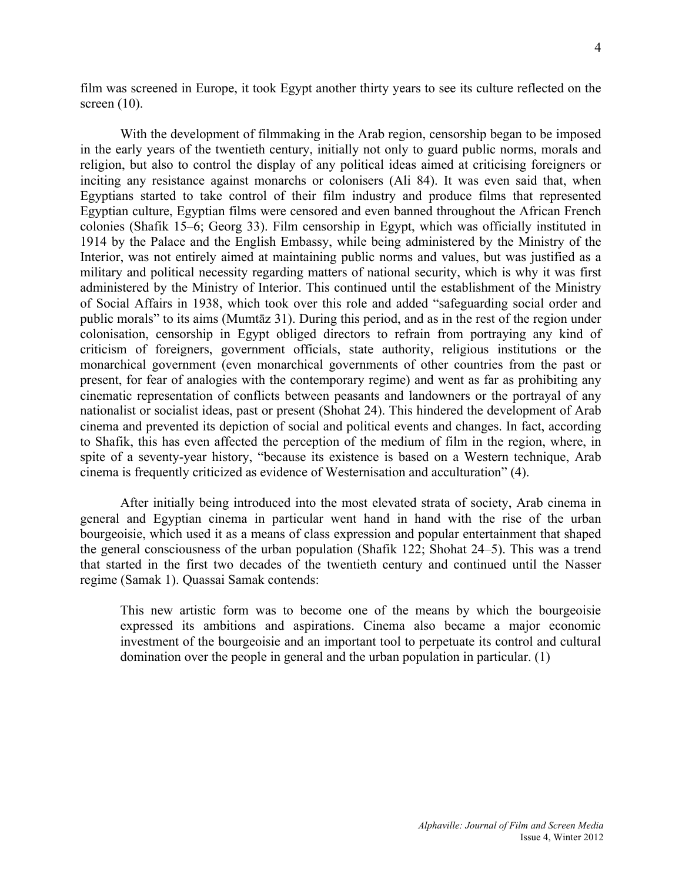film was screened in Europe, it took Egypt another thirty years to see its culture reflected on the screen (10).

With the development of filmmaking in the Arab region, censorship began to be imposed in the early years of the twentieth century, initially not only to guard public norms, morals and religion, but also to control the display of any political ideas aimed at criticising foreigners or inciting any resistance against monarchs or colonisers (Ali 84). It was even said that, when Egyptians started to take control of their film industry and produce films that represented Egyptian culture, Egyptian films were censored and even banned throughout the African French colonies (Shafik 15–6; Georg 33). Film censorship in Egypt, which was officially instituted in 1914 by the Palace and the English Embassy, while being administered by the Ministry of the Interior, was not entirely aimed at maintaining public norms and values, but was justified as a military and political necessity regarding matters of national security, which is why it was first administered by the Ministry of Interior. This continued until the establishment of the Ministry of Social Affairs in 1938, which took over this role and added "safeguarding social order and public morals" to its aims (Mumtāz 31). During this period, and as in the rest of the region under colonisation, censorship in Egypt obliged directors to refrain from portraying any kind of criticism of foreigners, government officials, state authority, religious institutions or the monarchical government (even monarchical governments of other countries from the past or present, for fear of analogies with the contemporary regime) and went as far as prohibiting any cinematic representation of conflicts between peasants and landowners or the portrayal of any nationalist or socialist ideas, past or present (Shohat 24). This hindered the development of Arab cinema and prevented its depiction of social and political events and changes. In fact, according to Shafik, this has even affected the perception of the medium of film in the region, where, in spite of a seventy-year history, "because its existence is based on a Western technique, Arab cinema is frequently criticized as evidence of Westernisation and acculturation" (4).

After initially being introduced into the most elevated strata of society, Arab cinema in general and Egyptian cinema in particular went hand in hand with the rise of the urban bourgeoisie, which used it as a means of class expression and popular entertainment that shaped the general consciousness of the urban population (Shafik 122; Shohat 24–5). This was a trend that started in the first two decades of the twentieth century and continued until the Nasser regime (Samak 1). Quassai Samak contends:

This new artistic form was to become one of the means by which the bourgeoisie expressed its ambitions and aspirations. Cinema also became a major economic investment of the bourgeoisie and an important tool to perpetuate its control and cultural domination over the people in general and the urban population in particular. (1)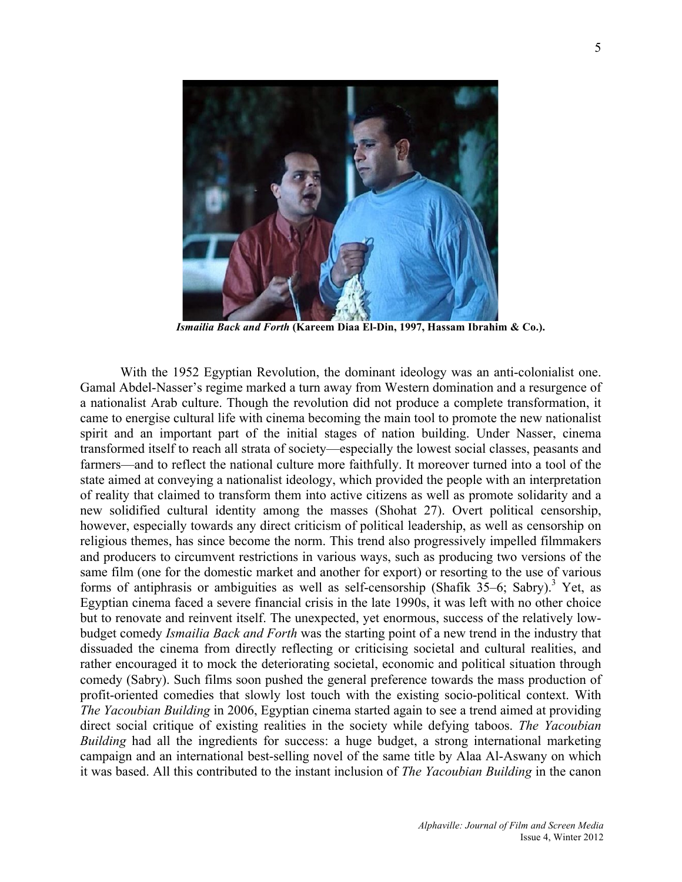

*Ismailia Back and Forth* **(Kareem Diaa El-Din, 1997, Hassam Ibrahim & Co.).**

With the 1952 Egyptian Revolution, the dominant ideology was an anti-colonialist one. Gamal Abdel-Nasser's regime marked a turn away from Western domination and a resurgence of a nationalist Arab culture. Though the revolution did not produce a complete transformation, it came to energise cultural life with cinema becoming the main tool to promote the new nationalist spirit and an important part of the initial stages of nation building. Under Nasser, cinema transformed itself to reach all strata of society—especially the lowest social classes, peasants and farmers—and to reflect the national culture more faithfully. It moreover turned into a tool of the state aimed at conveying a nationalist ideology, which provided the people with an interpretation of reality that claimed to transform them into active citizens as well as promote solidarity and a new solidified cultural identity among the masses (Shohat 27). Overt political censorship, however, especially towards any direct criticism of political leadership, as well as censorship on religious themes, has since become the norm. This trend also progressively impelled filmmakers and producers to circumvent restrictions in various ways, such as producing two versions of the same film (one for the domestic market and another for export) or resorting to the use of various forms of antiphrasis or ambiguities as well as self-censorship (Shafik  $35-6$ ; Sabry).<sup>3</sup> Yet, as Egyptian cinema faced a severe financial crisis in the late 1990s, it was left with no other choice but to renovate and reinvent itself. The unexpected, yet enormous, success of the relatively lowbudget comedy *Ismailia Back and Forth* was the starting point of a new trend in the industry that dissuaded the cinema from directly reflecting or criticising societal and cultural realities, and rather encouraged it to mock the deteriorating societal, economic and political situation through comedy (Sabry). Such films soon pushed the general preference towards the mass production of profit-oriented comedies that slowly lost touch with the existing socio-political context. With *The Yacoubian Building* in 2006, Egyptian cinema started again to see a trend aimed at providing direct social critique of existing realities in the society while defying taboos. *The Yacoubian Building* had all the ingredients for success: a huge budget, a strong international marketing campaign and an international best-selling novel of the same title by Alaa Al-Aswany on which it was based. All this contributed to the instant inclusion of *The Yacoubian Building* in the canon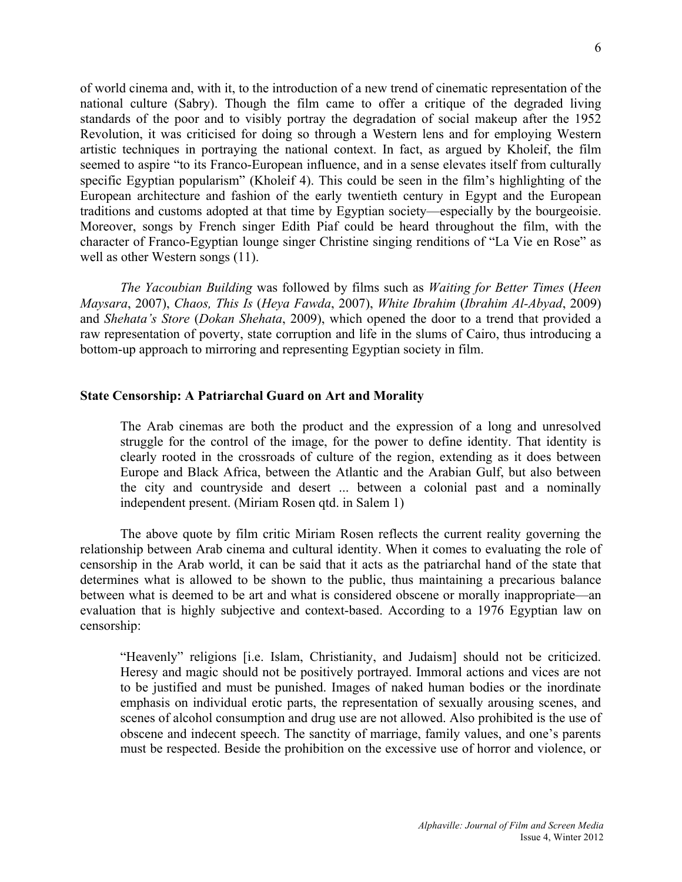of world cinema and, with it, to the introduction of a new trend of cinematic representation of the national culture (Sabry). Though the film came to offer a critique of the degraded living standards of the poor and to visibly portray the degradation of social makeup after the 1952 Revolution, it was criticised for doing so through a Western lens and for employing Western artistic techniques in portraying the national context. In fact, as argued by Kholeif, the film seemed to aspire "to its Franco-European influence, and in a sense elevates itself from culturally specific Egyptian popularism" (Kholeif 4). This could be seen in the film's highlighting of the European architecture and fashion of the early twentieth century in Egypt and the European traditions and customs adopted at that time by Egyptian society—especially by the bourgeoisie. Moreover, songs by French singer Edith Piaf could be heard throughout the film, with the character of Franco-Egyptian lounge singer Christine singing renditions of "La Vie en Rose" as well as other Western songs (11).

*The Yacoubian Building* was followed by films such as *Waiting for Better Times* (*Heen Maysara*, 2007), *Chaos, This Is* (*Heya Fawda*, 2007), *White Ibrahim* (*Ibrahim Al-Abyad*, 2009) and *Shehata's Store* (*Dokan Shehata*, 2009), which opened the door to a trend that provided a raw representation of poverty, state corruption and life in the slums of Cairo, thus introducing a bottom-up approach to mirroring and representing Egyptian society in film.

#### **State Censorship: A Patriarchal Guard on Art and Morality**

The Arab cinemas are both the product and the expression of a long and unresolved struggle for the control of the image, for the power to define identity. That identity is clearly rooted in the crossroads of culture of the region, extending as it does between Europe and Black Africa, between the Atlantic and the Arabian Gulf, but also between the city and countryside and desert ... between a colonial past and a nominally independent present. (Miriam Rosen qtd. in Salem 1)

The above quote by film critic Miriam Rosen reflects the current reality governing the relationship between Arab cinema and cultural identity. When it comes to evaluating the role of censorship in the Arab world, it can be said that it acts as the patriarchal hand of the state that determines what is allowed to be shown to the public, thus maintaining a precarious balance between what is deemed to be art and what is considered obscene or morally inappropriate—an evaluation that is highly subjective and context-based. According to a 1976 Egyptian law on censorship:

"Heavenly" religions [i.e. Islam, Christianity, and Judaism] should not be criticized. Heresy and magic should not be positively portrayed. Immoral actions and vices are not to be justified and must be punished. Images of naked human bodies or the inordinate emphasis on individual erotic parts, the representation of sexually arousing scenes, and scenes of alcohol consumption and drug use are not allowed. Also prohibited is the use of obscene and indecent speech. The sanctity of marriage, family values, and one's parents must be respected. Beside the prohibition on the excessive use of horror and violence, or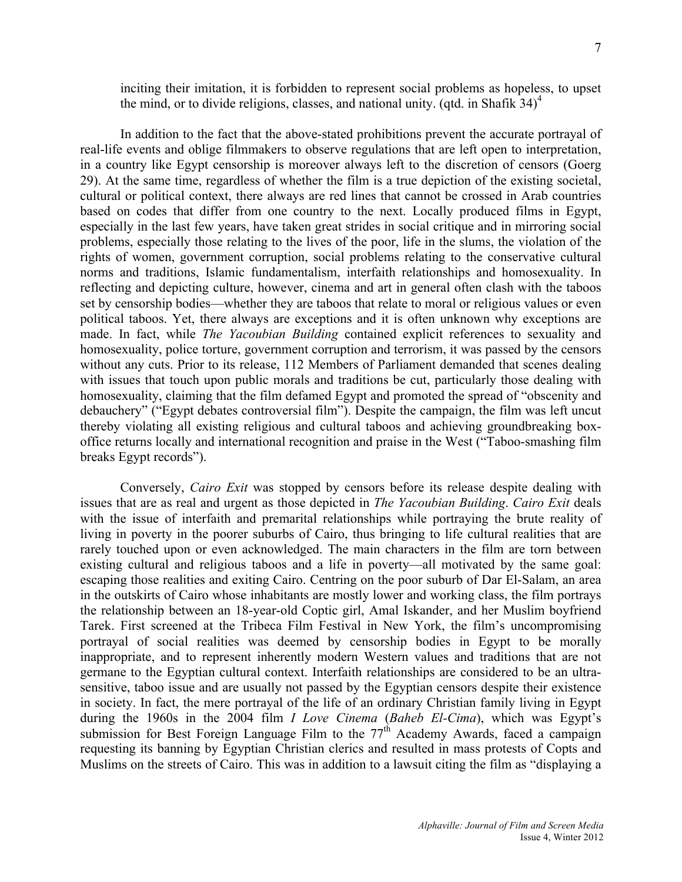inciting their imitation, it is forbidden to represent social problems as hopeless, to upset the mind, or to divide religions, classes, and national unity. (qtd. in Shafik  $34$ )<sup>4</sup>

In addition to the fact that the above-stated prohibitions prevent the accurate portrayal of real-life events and oblige filmmakers to observe regulations that are left open to interpretation, in a country like Egypt censorship is moreover always left to the discretion of censors (Goerg 29). At the same time, regardless of whether the film is a true depiction of the existing societal, cultural or political context, there always are red lines that cannot be crossed in Arab countries based on codes that differ from one country to the next. Locally produced films in Egypt, especially in the last few years, have taken great strides in social critique and in mirroring social problems, especially those relating to the lives of the poor, life in the slums, the violation of the rights of women, government corruption, social problems relating to the conservative cultural norms and traditions, Islamic fundamentalism, interfaith relationships and homosexuality. In reflecting and depicting culture, however, cinema and art in general often clash with the taboos set by censorship bodies—whether they are taboos that relate to moral or religious values or even political taboos. Yet, there always are exceptions and it is often unknown why exceptions are made. In fact, while *The Yacoubian Building* contained explicit references to sexuality and homosexuality, police torture, government corruption and terrorism, it was passed by the censors without any cuts. Prior to its release, 112 Members of Parliament demanded that scenes dealing with issues that touch upon public morals and traditions be cut, particularly those dealing with homosexuality, claiming that the film defamed Egypt and promoted the spread of "obscenity and debauchery" ("Egypt debates controversial film"). Despite the campaign, the film was left uncut thereby violating all existing religious and cultural taboos and achieving groundbreaking boxoffice returns locally and international recognition and praise in the West ("Taboo-smashing film breaks Egypt records").

Conversely, *Cairo Exit* was stopped by censors before its release despite dealing with issues that are as real and urgent as those depicted in *The Yacoubian Building*. *Cairo Exit* deals with the issue of interfaith and premarital relationships while portraying the brute reality of living in poverty in the poorer suburbs of Cairo, thus bringing to life cultural realities that are rarely touched upon or even acknowledged. The main characters in the film are torn between existing cultural and religious taboos and a life in poverty—all motivated by the same goal: escaping those realities and exiting Cairo. Centring on the poor suburb of Dar El-Salam, an area in the outskirts of Cairo whose inhabitants are mostly lower and working class, the film portrays the relationship between an 18-year-old Coptic girl, Amal Iskander, and her Muslim boyfriend Tarek. First screened at the Tribeca Film Festival in New York, the film's uncompromising portrayal of social realities was deemed by censorship bodies in Egypt to be morally inappropriate, and to represent inherently modern Western values and traditions that are not germane to the Egyptian cultural context. Interfaith relationships are considered to be an ultrasensitive, taboo issue and are usually not passed by the Egyptian censors despite their existence in society. In fact, the mere portrayal of the life of an ordinary Christian family living in Egypt during the 1960s in the 2004 film *I Love Cinema* (*Baheb El-Cima*), which was Egypt's submission for Best Foreign Language Film to the  $77<sup>th</sup>$  Academy Awards, faced a campaign requesting its banning by Egyptian Christian clerics and resulted in mass protests of Copts and Muslims on the streets of Cairo. This was in addition to a lawsuit citing the film as "displaying a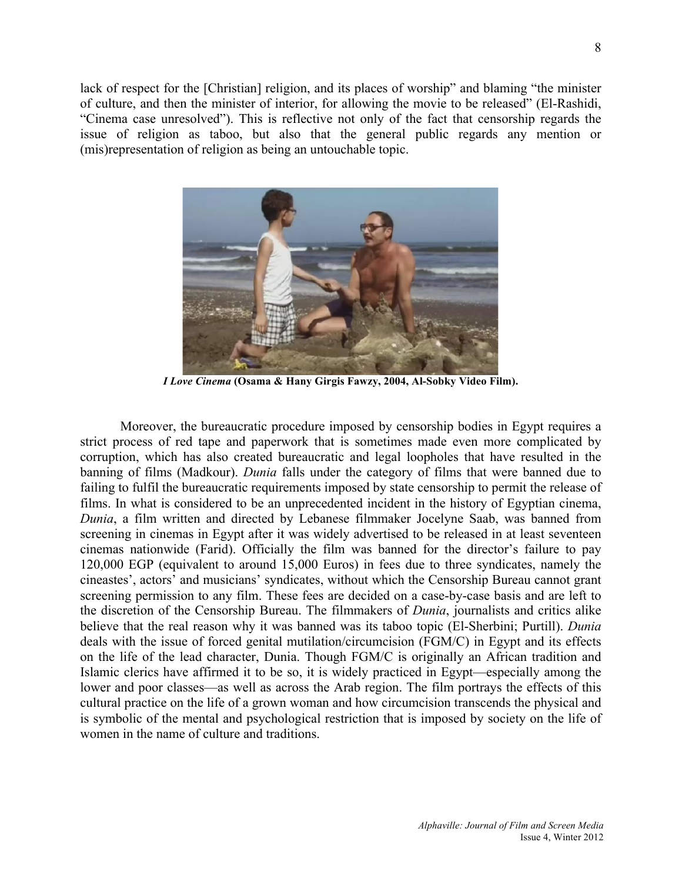lack of respect for the [Christian] religion, and its places of worship" and blaming "the minister of culture, and then the minister of interior, for allowing the movie to be released" (El-Rashidi, "Cinema case unresolved"). This is reflective not only of the fact that censorship regards the issue of religion as taboo, but also that the general public regards any mention or (mis)representation of religion as being an untouchable topic.



*I Love Cinema* **(Osama & Hany Girgis Fawzy, 2004, Al-Sobky Video Film).**

Moreover, the bureaucratic procedure imposed by censorship bodies in Egypt requires a strict process of red tape and paperwork that is sometimes made even more complicated by corruption, which has also created bureaucratic and legal loopholes that have resulted in the banning of films (Madkour). *Dunia* falls under the category of films that were banned due to failing to fulfil the bureaucratic requirements imposed by state censorship to permit the release of films. In what is considered to be an unprecedented incident in the history of Egyptian cinema, *Dunia*, a film written and directed by Lebanese filmmaker Jocelyne Saab, was banned from screening in cinemas in Egypt after it was widely advertised to be released in at least seventeen cinemas nationwide (Farid). Officially the film was banned for the director's failure to pay 120,000 EGP (equivalent to around 15,000 Euros) in fees due to three syndicates, namely the cineastes', actors' and musicians' syndicates, without which the Censorship Bureau cannot grant screening permission to any film. These fees are decided on a case-by-case basis and are left to the discretion of the Censorship Bureau. The filmmakers of *Dunia*, journalists and critics alike believe that the real reason why it was banned was its taboo topic (El-Sherbini; Purtill). *Dunia* deals with the issue of forced genital mutilation/circumcision (FGM/C) in Egypt and its effects on the life of the lead character, Dunia. Though FGM/C is originally an African tradition and Islamic clerics have affirmed it to be so, it is widely practiced in Egypt—especially among the lower and poor classes—as well as across the Arab region. The film portrays the effects of this cultural practice on the life of a grown woman and how circumcision transcends the physical and is symbolic of the mental and psychological restriction that is imposed by society on the life of women in the name of culture and traditions.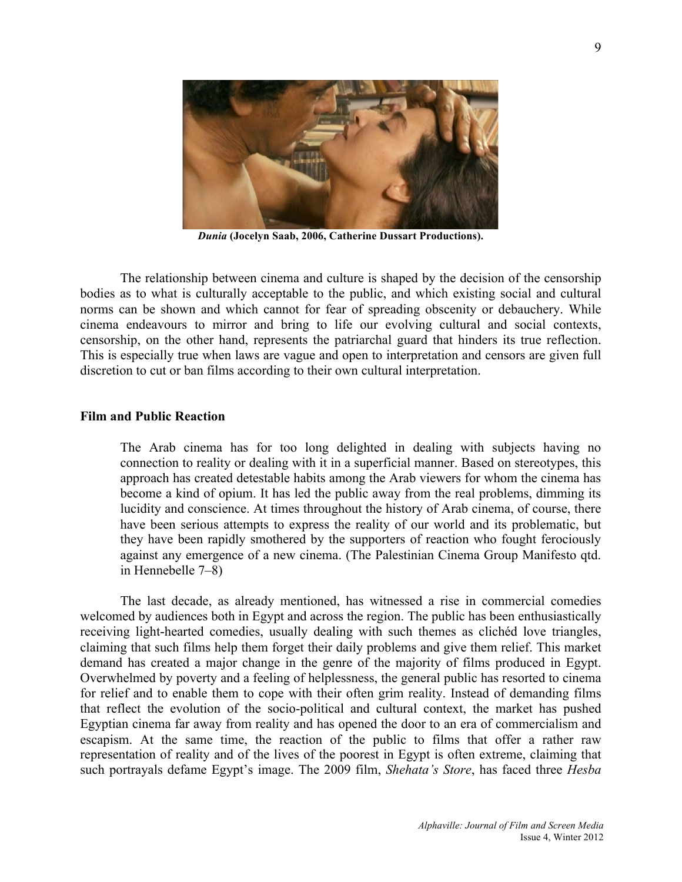

*Dunia* **(Jocelyn Saab, 2006, Catherine Dussart Productions).**

The relationship between cinema and culture is shaped by the decision of the censorship bodies as to what is culturally acceptable to the public, and which existing social and cultural norms can be shown and which cannot for fear of spreading obscenity or debauchery. While cinema endeavours to mirror and bring to life our evolving cultural and social contexts, censorship, on the other hand, represents the patriarchal guard that hinders its true reflection. This is especially true when laws are vague and open to interpretation and censors are given full discretion to cut or ban films according to their own cultural interpretation.

### **Film and Public Reaction**

The Arab cinema has for too long delighted in dealing with subjects having no connection to reality or dealing with it in a superficial manner. Based on stereotypes, this approach has created detestable habits among the Arab viewers for whom the cinema has become a kind of opium. It has led the public away from the real problems, dimming its lucidity and conscience. At times throughout the history of Arab cinema, of course, there have been serious attempts to express the reality of our world and its problematic, but they have been rapidly smothered by the supporters of reaction who fought ferociously against any emergence of a new cinema. (The Palestinian Cinema Group Manifesto qtd. in Hennebelle 7–8)

The last decade, as already mentioned, has witnessed a rise in commercial comedies welcomed by audiences both in Egypt and across the region. The public has been enthusiastically receiving light-hearted comedies, usually dealing with such themes as clichéd love triangles, claiming that such films help them forget their daily problems and give them relief. This market demand has created a major change in the genre of the majority of films produced in Egypt. Overwhelmed by poverty and a feeling of helplessness, the general public has resorted to cinema for relief and to enable them to cope with their often grim reality. Instead of demanding films that reflect the evolution of the socio-political and cultural context, the market has pushed Egyptian cinema far away from reality and has opened the door to an era of commercialism and escapism. At the same time, the reaction of the public to films that offer a rather raw representation of reality and of the lives of the poorest in Egypt is often extreme, claiming that such portrayals defame Egypt's image. The 2009 film, *Shehata's Store*, has faced three *Hesba*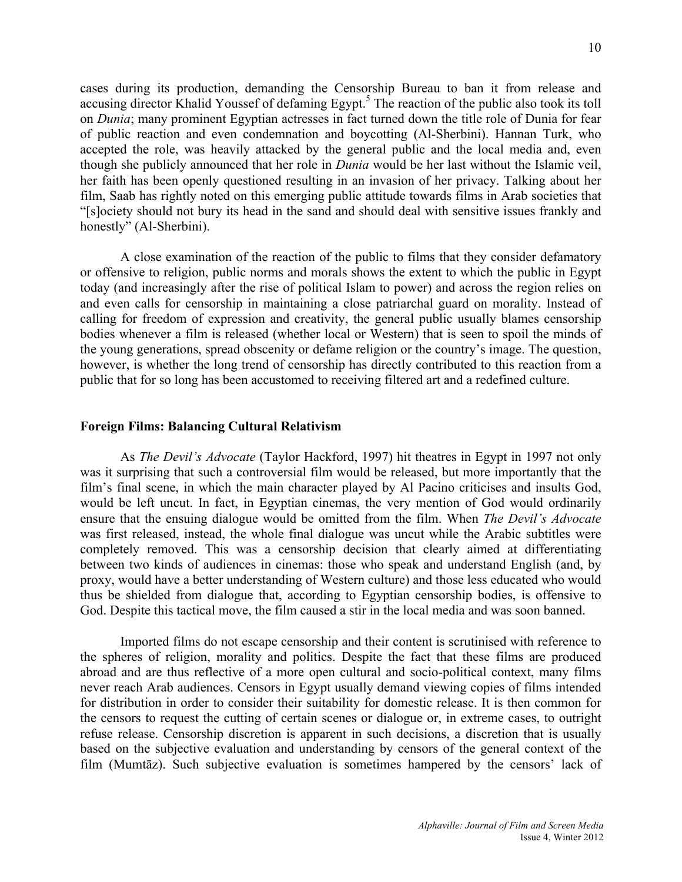cases during its production, demanding the Censorship Bureau to ban it from release and accusing director Khalid Youssef of defaming Egypt.<sup>5</sup> The reaction of the public also took its toll on *Dunia*; many prominent Egyptian actresses in fact turned down the title role of Dunia for fear of public reaction and even condemnation and boycotting (Al-Sherbini). Hannan Turk, who accepted the role, was heavily attacked by the general public and the local media and, even though she publicly announced that her role in *Dunia* would be her last without the Islamic veil, her faith has been openly questioned resulting in an invasion of her privacy. Talking about her film, Saab has rightly noted on this emerging public attitude towards films in Arab societies that "[s]ociety should not bury its head in the sand and should deal with sensitive issues frankly and honestly" (Al-Sherbini).

A close examination of the reaction of the public to films that they consider defamatory or offensive to religion, public norms and morals shows the extent to which the public in Egypt today (and increasingly after the rise of political Islam to power) and across the region relies on and even calls for censorship in maintaining a close patriarchal guard on morality. Instead of calling for freedom of expression and creativity, the general public usually blames censorship bodies whenever a film is released (whether local or Western) that is seen to spoil the minds of the young generations, spread obscenity or defame religion or the country's image. The question, however, is whether the long trend of censorship has directly contributed to this reaction from a public that for so long has been accustomed to receiving filtered art and a redefined culture.

#### **Foreign Films: Balancing Cultural Relativism**

As *The Devil's Advocate* (Taylor Hackford, 1997) hit theatres in Egypt in 1997 not only was it surprising that such a controversial film would be released, but more importantly that the film's final scene, in which the main character played by Al Pacino criticises and insults God, would be left uncut. In fact, in Egyptian cinemas, the very mention of God would ordinarily ensure that the ensuing dialogue would be omitted from the film. When *The Devil's Advocate* was first released, instead, the whole final dialogue was uncut while the Arabic subtitles were completely removed. This was a censorship decision that clearly aimed at differentiating between two kinds of audiences in cinemas: those who speak and understand English (and, by proxy, would have a better understanding of Western culture) and those less educated who would thus be shielded from dialogue that, according to Egyptian censorship bodies, is offensive to God. Despite this tactical move, the film caused a stir in the local media and was soon banned.

Imported films do not escape censorship and their content is scrutinised with reference to the spheres of religion, morality and politics. Despite the fact that these films are produced abroad and are thus reflective of a more open cultural and socio-political context, many films never reach Arab audiences. Censors in Egypt usually demand viewing copies of films intended for distribution in order to consider their suitability for domestic release. It is then common for the censors to request the cutting of certain scenes or dialogue or, in extreme cases, to outright refuse release. Censorship discretion is apparent in such decisions, a discretion that is usually based on the subjective evaluation and understanding by censors of the general context of the film (Mumtāz). Such subjective evaluation is sometimes hampered by the censors' lack of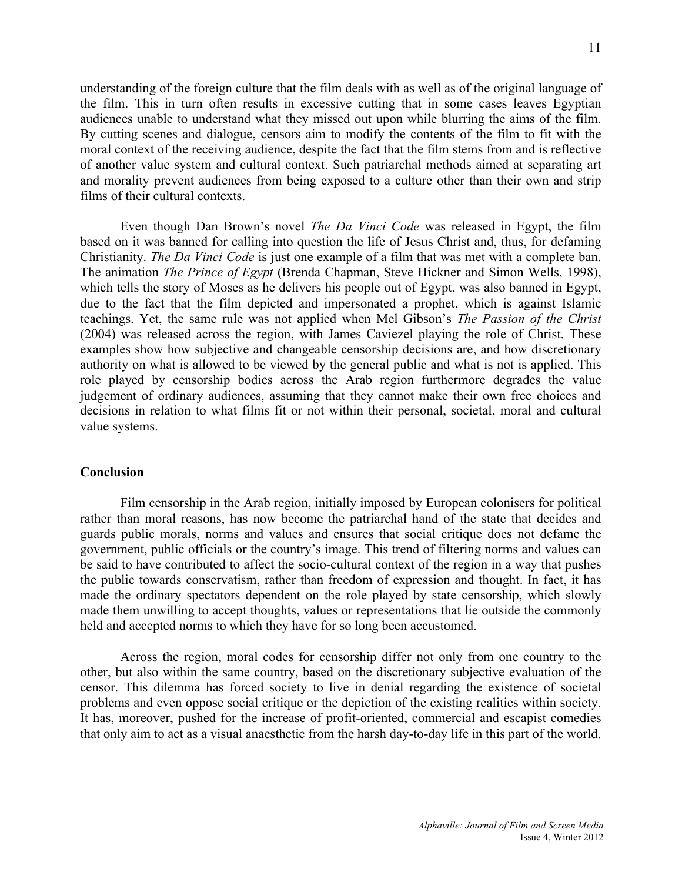understanding of the foreign culture that the film deals with as well as of the original language of the film. This in turn often results in excessive cutting that in some cases leaves Egyptian audiences unable to understand what they missed out upon while blurring the aims of the film. By cutting scenes and dialogue, censors aim to modify the contents of the film to fit with the moral context of the receiving audience, despite the fact that the film stems from and is reflective of another value system and cultural context. Such patriarchal methods aimed at separating art and morality prevent audiences from being exposed to a culture other than their own and strip films of their cultural contexts.

Even though Dan Brown's novel *The Da Vinci Code* was released in Egypt, the film based on it was banned for calling into question the life of Jesus Christ and, thus, for defaming Christianity. *The Da Vinci Code* is just one example of a film that was met with a complete ban. The animation *The Prince of Egypt* (Brenda Chapman, Steve Hickner and Simon Wells, 1998), which tells the story of Moses as he delivers his people out of Egypt, was also banned in Egypt, due to the fact that the film depicted and impersonated a prophet, which is against Islamic teachings. Yet, the same rule was not applied when Mel Gibson's *The Passion of the Christ* (2004) was released across the region, with James Caviezel playing the role of Christ. These examples show how subjective and changeable censorship decisions are, and how discretionary authority on what is allowed to be viewed by the general public and what is not is applied. This role played by censorship bodies across the Arab region furthermore degrades the value judgement of ordinary audiences, assuming that they cannot make their own free choices and decisions in relation to what films fit or not within their personal, societal, moral and cultural value systems.

#### **Conclusion**

Film censorship in the Arab region, initially imposed by European colonisers for political rather than moral reasons, has now become the patriarchal hand of the state that decides and guards public morals, norms and values and ensures that social critique does not defame the government, public officials or the country's image. This trend of filtering norms and values can be said to have contributed to affect the socio-cultural context of the region in a way that pushes the public towards conservatism, rather than freedom of expression and thought. In fact, it has made the ordinary spectators dependent on the role played by state censorship, which slowly made them unwilling to accept thoughts, values or representations that lie outside the commonly held and accepted norms to which they have for so long been accustomed.

Across the region, moral codes for censorship differ not only from one country to the other, but also within the same country, based on the discretionary subjective evaluation of the censor. This dilemma has forced society to live in denial regarding the existence of societal problems and even oppose social critique or the depiction of the existing realities within society. It has, moreover, pushed for the increase of profit-oriented, commercial and escapist comedies that only aim to act as a visual anaesthetic from the harsh day-to-day life in this part of the world.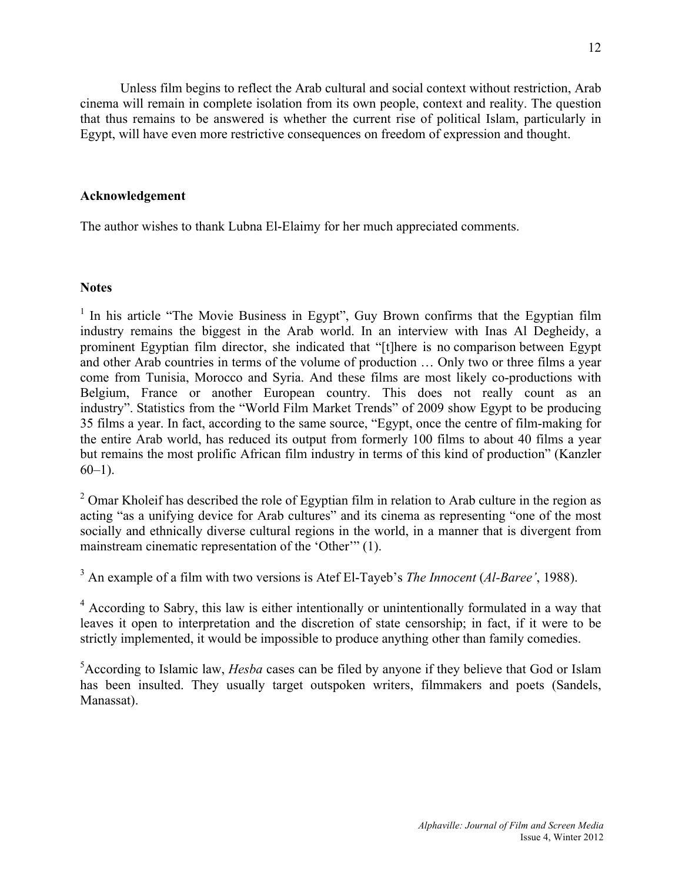Unless film begins to reflect the Arab cultural and social context without restriction, Arab cinema will remain in complete isolation from its own people, context and reality. The question that thus remains to be answered is whether the current rise of political Islam, particularly in Egypt, will have even more restrictive consequences on freedom of expression and thought.

# **Acknowledgement**

The author wishes to thank Lubna El-Elaimy for her much appreciated comments.

## **Notes**

 $1$  In his article "The Movie Business in Egypt", Guy Brown confirms that the Egyptian film industry remains the biggest in the Arab world. In an interview with Inas Al Degheidy, a prominent Egyptian film director, she indicated that "[t]here is no comparison between Egypt and other Arab countries in terms of the volume of production … Only two or three films a year come from Tunisia, Morocco and Syria. And these films are most likely co-productions with Belgium, France or another European country. This does not really count as an industry". Statistics from the "World Film Market Trends" of 2009 show Egypt to be producing 35 films a year. In fact, according to the same source, "Egypt, once the centre of film-making for the entire Arab world, has reduced its output from formerly 100 films to about 40 films a year but remains the most prolific African film industry in terms of this kind of production" (Kanzler  $60-1$ ).

<sup>2</sup> Omar Kholeif has described the role of Egyptian film in relation to Arab culture in the region as acting "as a unifying device for Arab cultures" and its cinema as representing "one of the most socially and ethnically diverse cultural regions in the world, in a manner that is divergent from mainstream cinematic representation of the 'Other'" (1).

<sup>3</sup> An example of a film with two versions is Atef El-Tayeb's *The Innocent* (*Al-Baree'*, 1988).

<sup>4</sup> According to Sabry, this law is either intentionally or unintentionally formulated in a way that leaves it open to interpretation and the discretion of state censorship; in fact, if it were to be strictly implemented, it would be impossible to produce anything other than family comedies.

5 According to Islamic law, *Hesba* cases can be filed by anyone if they believe that God or Islam has been insulted. They usually target outspoken writers, filmmakers and poets (Sandels, Manassat).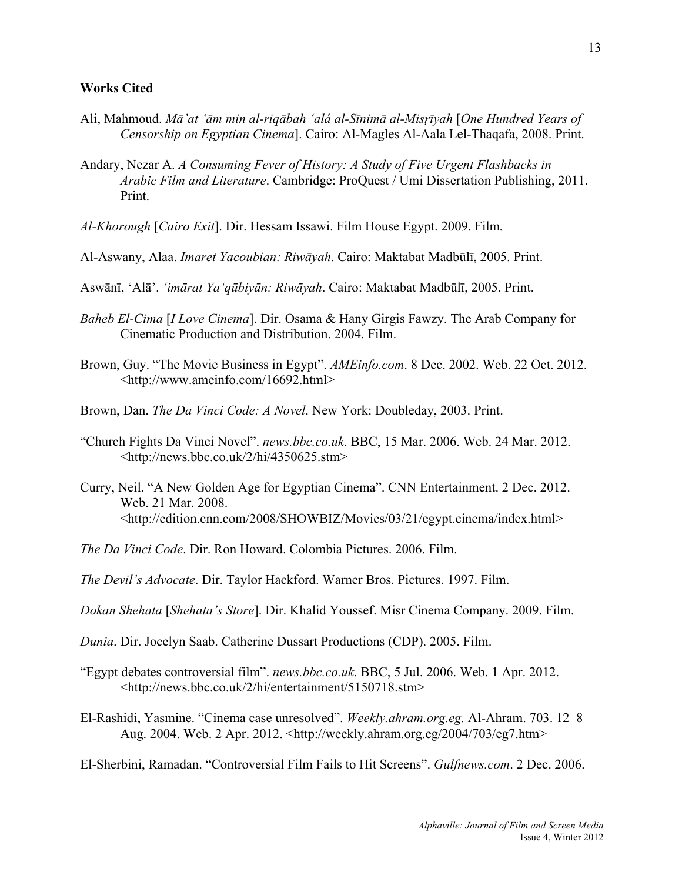#### **Works Cited**

- Ali, Mahmoud. *Mā'at ʻām min al-riqābah ʻalá al-Sīnimā al-Misṛīyah* [*One Hundred Years of Censorship on Egyptian Cinema*]. Cairo: Al-Magles Al-Aala Lel-Thaqafa, 2008. Print.
- Andary, Nezar A. *A Consuming Fever of History: A Study of Five Urgent Flashbacks in Arabic Film and Literature*. Cambridge: ProQuest / Umi Dissertation Publishing, 2011. Print.
- *Al-Khorough* [*Cairo Exit*]. Dir. Hessam Issawi. Film House Egypt. 2009. Film*.*
- Al-Aswany, Alaa. *Imaret Yacoubian: Riwāyah*. Cairo: Maktabat Madbūlī, 2005. Print.
- Aswānī, ʻAlā'. *ʻimārat Yaʻqūbiyān: Riwāyah*. Cairo: Maktabat Madbūlī, 2005. Print.
- *Baheb El-Cima* [*I Love Cinema*]. Dir. Osama & Hany Girgis Fawzy. The Arab Company for Cinematic Production and Distribution. 2004. Film.
- Brown, Guy. "The Movie Business in Egypt". *AMEinfo.com*. 8 Dec. 2002. Web. 22 Oct. 2012. <http://www.ameinfo.com/16692.html>
- Brown, Dan. *The Da Vinci Code: A Novel*. New York: Doubleday, 2003. Print.
- "Church Fights Da Vinci Novel". *news.bbc.co.uk*. BBC, 15 Mar. 2006. Web. 24 Mar. 2012.  $\langle$ http://news.bbc.co.uk/2/hi/4350625.stm>
- Curry, Neil. "A New Golden Age for Egyptian Cinema". CNN Entertainment. 2 Dec. 2012. Web. 21 Mar. 2008. <http://edition.cnn.com/2008/SHOWBIZ/Movies/03/21/egypt.cinema/index.html>
- *The Da Vinci Code*. Dir. Ron Howard. Colombia Pictures. 2006. Film.
- *The Devil's Advocate*. Dir. Taylor Hackford. Warner Bros. Pictures. 1997. Film.
- *Dokan Shehata* [*Shehata's Store*]. Dir. Khalid Youssef. Misr Cinema Company. 2009. Film.
- *Dunia*. Dir. Jocelyn Saab. Catherine Dussart Productions (CDP). 2005. Film.
- "Egypt debates controversial film". *news.bbc.co.uk*. BBC, 5 Jul. 2006. Web. 1 Apr. 2012. <http://news.bbc.co.uk/2/hi/entertainment/5150718.stm>
- El-Rashidi, Yasmine. "Cinema case unresolved". *Weekly.ahram.org.eg.* Al-Ahram. 703. 12–8 Aug. 2004. Web. 2 Apr. 2012. <http://weekly.ahram.org.eg/2004/703/eg7.htm>
- El-Sherbini, Ramadan. "Controversial Film Fails to Hit Screens". *Gulfnews.com*. 2 Dec. 2006.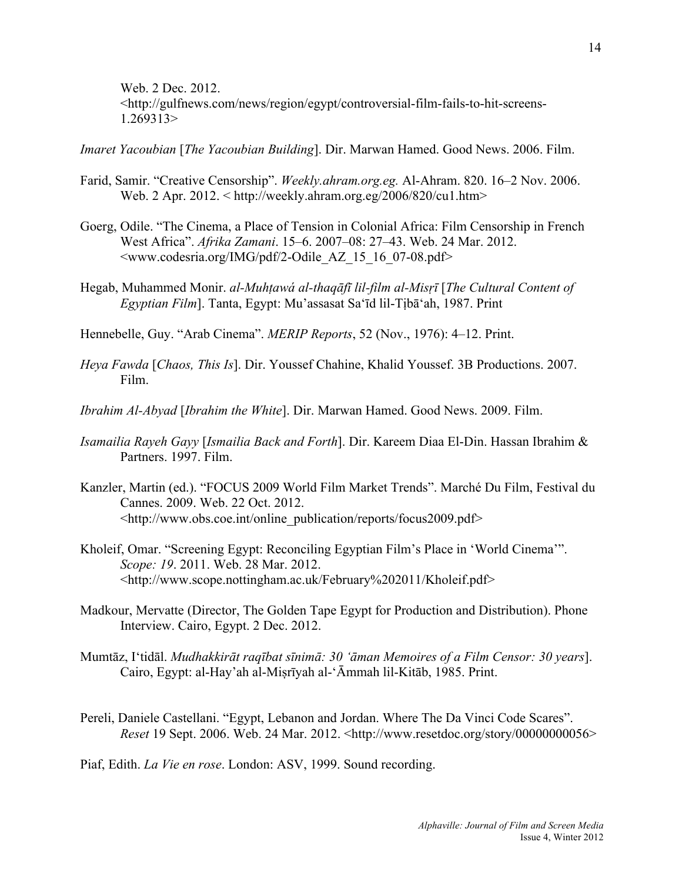Web. 2 Dec. 2012. <http://gulfnews.com/news/region/egypt/controversial-film-fails-to-hit-screens-1.269313>

*Imaret Yacoubian* [*The Yacoubian Building*]. Dir. Marwan Hamed. Good News. 2006. Film.

- Farid, Samir. "Creative Censorship". *Weekly.ahram.org.eg.* Al-Ahram. 820. 16–2 Nov. 2006. Web. 2 Apr. 2012. < http://weekly.ahram.org.eg/2006/820/cu1.htm>
- Goerg, Odile. "The Cinema, a Place of Tension in Colonial Africa: Film Censorship in French West Africa". *Afrika Zamani*. 15–6. 2007–08: 27–43. Web. 24 Mar. 2012. <www.codesria.org/IMG/pdf/2-Odile\_AZ\_15\_16\_07-08.pdf>
- Hegab, Muhammed Monir. *al-Muhṭawá al-thaqāfī lil-film al-Misṛī* [*The Cultural Content of Egyptian Film*]. Tanta, Egypt: Mu'assasat Saʻīd lil-Tịbāʻah, 1987. Print
- Hennebelle, Guy. "Arab Cinema". *MERIP Reports*, 52 (Nov., 1976): 4–12. Print.
- *Heya Fawda* [*Chaos, This Is*]. Dir. Youssef Chahine, Khalid Youssef. 3B Productions. 2007. Film.
- *Ibrahim Al-Abyad* [*Ibrahim the White*]. Dir. Marwan Hamed. Good News. 2009. Film.
- *Isamailia Rayeh Gayy* [*Ismailia Back and Forth*]. Dir. Kareem Diaa El-Din. Hassan Ibrahim & Partners. 1997. Film.
- Kanzler, Martin (ed.). "FOCUS 2009 World Film Market Trends". Marché Du Film, Festival du Cannes. 2009. Web. 22 Oct. 2012. <http://www.obs.coe.int/online\_publication/reports/focus2009.pdf>
- Kholeif, Omar. "Screening Egypt: Reconciling Egyptian Film's Place in 'World Cinema'". *Scope: 19*. 2011. Web. 28 Mar. 2012. <http://www.scope.nottingham.ac.uk/February%202011/Kholeif.pdf>
- Madkour, Mervatte (Director, The Golden Tape Egypt for Production and Distribution). Phone Interview. Cairo, Egypt. 2 Dec. 2012.
- Mumtāz, Iʻtidāl. *Mudhakkirāt raqībat sīnimā: 30 ʻāman Memoires of a Film Censor: 30 years*]. Cairo, Egypt: al-Hay'ah al-Miṣrīyah al-ʻĀmmah lil-Kitāb, 1985. Print.
- Pereli, Daniele Castellani. "Egypt, Lebanon and Jordan. Where The Da Vinci Code Scares". *Reset* 19 Sept. 2006. Web. 24 Mar. 2012. <http://www.resetdoc.org/story/00000000056>

Piaf, Edith. *La Vie en rose*. London: ASV, 1999. Sound recording.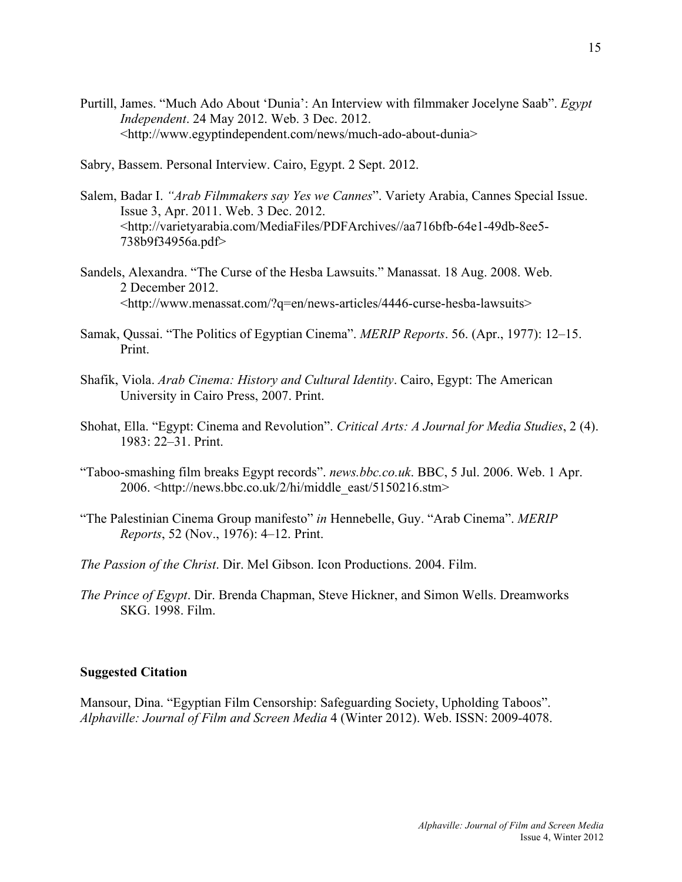- Purtill, James. "Much Ado About 'Dunia': An Interview with filmmaker Jocelyne Saab". *Egypt Independent*. 24 May 2012. Web. 3 Dec. 2012. <http://www.egyptindependent.com/news/much-ado-about-dunia>
- Sabry, Bassem. Personal Interview. Cairo, Egypt. 2 Sept. 2012.
- Salem, Badar I. *"Arab Filmmakers say Yes we Cannes*". Variety Arabia, Cannes Special Issue. Issue 3, Apr. 2011. Web. 3 Dec. 2012. <http://varietyarabia.com/MediaFiles/PDFArchives//aa716bfb-64e1-49db-8ee5- 738b9f34956a.pdf>
- Sandels, Alexandra. "The Curse of the Hesba Lawsuits." Manassat. 18 Aug. 2008. Web. 2 December 2012. <http://www.menassat.com/?q=en/news-articles/4446-curse-hesba-lawsuits>
- Samak, Qussai. "The Politics of Egyptian Cinema". *MERIP Reports*. 56. (Apr., 1977): 12–15. Print.
- Shafik, Viola. *Arab Cinema: History and Cultural Identity*. Cairo, Egypt: The American University in Cairo Press, 2007. Print.
- Shohat, Ella. "Egypt: Cinema and Revolution". *Critical Arts: A Journal for Media Studies*, 2 (4). 1983: 22–31. Print.
- "Taboo-smashing film breaks Egypt records". *news.bbc.co.uk*. BBC, 5 Jul. 2006. Web. 1 Apr. 2006. <http://news.bbc.co.uk/2/hi/middle\_east/5150216.stm>
- "The Palestinian Cinema Group manifesto" *in* Hennebelle, Guy. "Arab Cinema". *MERIP Reports*, 52 (Nov., 1976): 4–12. Print.
- *The Passion of the Christ*. Dir. Mel Gibson. Icon Productions. 2004. Film.
- *The Prince of Egypt*. Dir. Brenda Chapman, Steve Hickner, and Simon Wells. Dreamworks SKG. 1998. Film.

#### **Suggested Citation**

Mansour, Dina. "Egyptian Film Censorship: Safeguarding Society, Upholding Taboos". *Alphaville: Journal of Film and Screen Media* 4 (Winter 2012). Web. ISSN: 2009-4078.